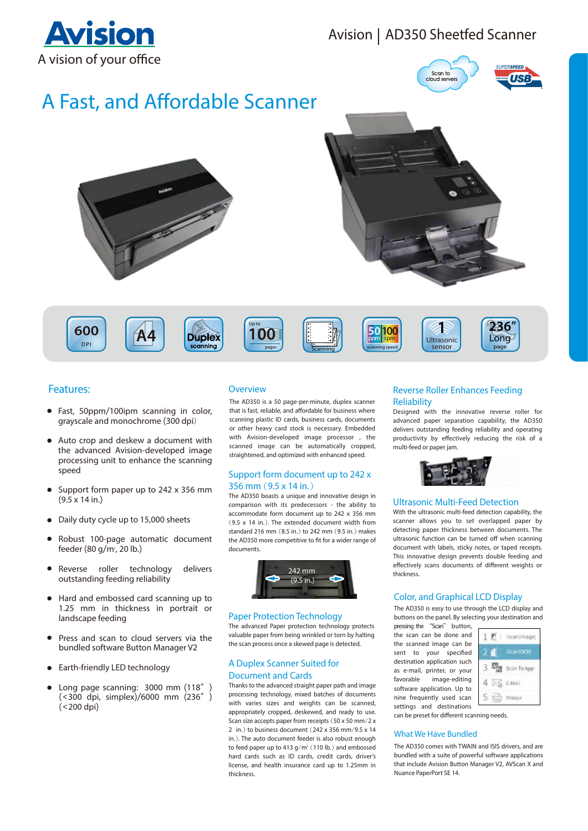## **Avision** A vision of your office

## Avision | AD350 Sheetfed Scanner



# A Fast, and Affordable Scanner





D P I 600











### **Features:**

- Fast, 50ppm/100ipm scanning in color, grayscale and monochrome (300 dpi)
- Auto crop and deskew a document with the advanced Avision-developed image processing unit to enhance the scanning speed
- Support form paper up to 242 x 356 mm  $(9.5 \times 14 \text{ in.})$
- Daily duty cycle up to 15,000 sheets
- Robust 100-page automatic document feeder (80 g/m<sup>2</sup>, 20 lb.)
- Reverse roller technology del delivers outstanding feeding reliability
- Hard and embossed card scanning up to 1.25 mm in thickness in portrait or landscape feeding
- $\bullet$ Press and scan to cloud servers via the bundled software Button Manager V2
- Earth-friendly LED technology
- Long page scanning: 3000 mm (118"  $\bullet$ (<300 dpi, simplex)/6000 mm (236")  $(<$  200 dpi $)$

#### **Overview**

The AD350 is a 50 page-per-minute, duplex scanner that is fast, reliable, and affordable for business where scanning plastic ID cards, business cards, documents or other heavy card stock is necessary. Embedded with Avision-developed image processor, the scanned image can be automatically cropped, straightened, and optimized with enhanced speed.

#### Support form document up to 242 x 356 mm  $(9.5 \times 14 \text{ in.})$

The AD350 boasts a unique and innovative design in comparison with its predecessors - the ability to accommodate form document up to 242 x 356 mm  $(9.5 \times 14 \text{ in.})$ . The extended document width from standard 216 mm (8.5 in.) to 242 mm (9.5 in.) makes the AD350 more competitive to fit for a wider range of documents



#### **Paper Protection Technology**

The advanced Paper protection technology protects valuable paper from being wrinkled or torn by halting the scan process once a skewed page is detected.

#### A Duplex Scanner Suited for **Document and Cards**

Thanks to the advanced straight paper path and image processing technology, mixed batches of documents with varies sizes and weights can be scanned, appropriately cropped, deskewed, and ready to use. Scan size accepts paper from receipts  $(50 \times 50 \text{ mm}/2 \times$ 2 in  $)$  to business document (242 x 356 mm/9.5 x 14) in.). The auto document feeder is also robust enough to feed paper up to 413  $g/m^2$  (110 lb.) and embossed hard cards such as ID cards, credit cards, driver's license, and health insurance card up to 1.25mm in thickness

#### **Reverse Roller Enhances Feeding** Reliability

sensor  $\overline{1}$ 

Designed with the innovative reverse roller for advanced paper separation capability, the AD350 delivers outstanding feeding reliability and operating productivity by effectively reducing the risk of a multi-feed or paper jam.



#### **Ultrasonic Multi-Feed Detection**

With the ultrasonic multi-feed detection capability, the scanner allows you to set overlapped paper by detecting paper thickness between documents. The ultrasonic function can be turned off when scanning document with labels, sticky notes, or taped receipts. This innovative design prevents double feeding and effectively scans documents of different weights or thickness

#### **Color, and Graphical LCD Display**

The AD350 is easy to use through the LCD display and buttons on the panel. By selecting your destination and

pressing the "Scan" button, the scan can be done and the scanned image can be sent to your specified destination application such as e-mail, printer, or your favorable image-editing software application. Up to nine frequently used scan settings and destinations



can be preset for different scanning needs.

#### **What We Have Bundled**

The AD350 comes with TWAIN and ISIS drivers, and are bundled with a suite of powerful software applications that include Avision Button Manager V2, AVScan X and Nuance PaperPort SE 14.